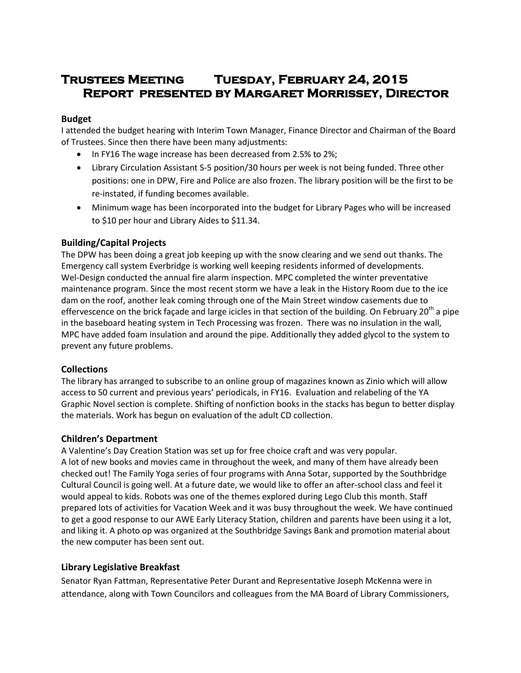# **Trustees Meeting Tuesday, February 24, 2015 Report presented by Margaret Morrissey, Director**

## **Budget**

I attended the budget hearing with Interim Town Manager, Finance Director and Chairman of the Board of Trustees. Since then there have been many adjustments:

- In FY16 The wage increase has been decreased from 2.5% to 2%;
- Library Circulation Assistant S-5 position/30 hours per week is not being funded. Three other positions: one in DPW, Fire and Police are also frozen. The library position will be the first to be re-instated, if funding becomes available.
- Minimum wage has been incorporated into the budget for Library Pages who will be increased to \$10 per hour and Library Aides to \$11.34.

# **Building/Capital Projects**

The DPW has been doing a great job keeping up with the snow clearing and we send out thanks. The Emergency call system Everbridge is working well keeping residents informed of developments. Wel-Design conducted the annual fire alarm inspection. MPC completed the winter preventative maintenance program. Since the most recent storm we have a leak in the History Room due to the ice dam on the roof, another leak coming through one of the Main Street window casements due to effervescence on the brick façade and large icicles in that section of the building. On February 20<sup>th</sup> a pipe in the baseboard heating system in Tech Processing was frozen. There was no insulation in the wall, MPC have added foam insulation and around the pipe. Additionally they added glycol to the system to prevent any future problems.

#### **Collections**

The library has arranged to subscribe to an online group of magazines known as Zinio which will allow access to 50 current and previous years' periodicals, in FY16. Evaluation and relabeling of the YA Graphic Novel section is complete. Shifting of nonfiction books in the stacks has begun to better display the materials. Work has begun on evaluation of the adult CD collection.

#### **Children's Department**

A Valentine's Day Creation Station was set up for free choice craft and was very popular. A lot of new books and movies came in throughout the week, and many of them have already been checked out! The Family Yoga series of four programs with Anna Sotar, supported by the Southbridge Cultural Council is going well. At a future date, we would like to offer an after-school class and feel it would appeal to kids. Robots was one of the themes explored during Lego Club this month. Staff prepared lots of activities for Vacation Week and it was busy throughout the week. We have continued to get a good response to our AWE Early Literacy Station, children and parents have been using it a lot, and liking it. A photo op was organized at the Southbridge Savings Bank and promotion material about the new computer has been sent out.

# **Library Legislative Breakfast**

Senator Ryan Fattman, Representative Peter Durant and Representative Joseph McKenna were in attendance, along with Town Councilors and colleagues from the MA Board of Library Commissioners,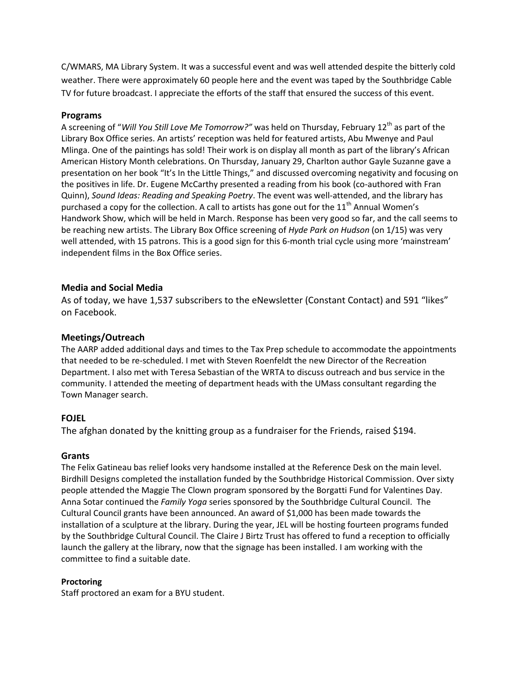C/WMARS, MA Library System. It was a successful event and was well attended despite the bitterly cold weather. There were approximately 60 people here and the event was taped by the Southbridge Cable TV for future broadcast. I appreciate the efforts of the staff that ensured the success of this event.

## **Programs**

A screening of "*Will You Still Love Me Tomorrow?"* was held on Thursday, February 12th as part of the Library Box Office series. An artists' reception was held for featured artists, Abu Mwenye and Paul Mlinga. One of the paintings has sold! Their work is on display all month as part of the library's African American History Month celebrations. On Thursday, January 29, Charlton author Gayle Suzanne gave a presentation on her book "It's In the Little Things," and discussed overcoming negativity and focusing on the positives in life. Dr. Eugene McCarthy presented a reading from his book (co-authored with Fran Quinn), *Sound Ideas: Reading and Speaking Poetry*. The event was well-attended, and the library has purchased a copy for the collection. A call to artists has gone out for the  $11<sup>th</sup>$  Annual Women's Handwork Show, which will be held in March. Response has been very good so far, and the call seems to be reaching new artists. The Library Box Office screening of *Hyde Park on Hudson* (on 1/15) was very well attended, with 15 patrons. This is a good sign for this 6-month trial cycle using more 'mainstream' independent films in the Box Office series.

## **Media and Social Media**

As of today, we have 1,537 subscribers to the eNewsletter (Constant Contact) and 591 "likes" on Facebook.

#### **Meetings/Outreach**

The AARP added additional days and times to the Tax Prep schedule to accommodate the appointments that needed to be re-scheduled. I met with Steven Roenfeldt the new Director of the Recreation Department. I also met with Teresa Sebastian of the WRTA to discuss outreach and bus service in the community. I attended the meeting of department heads with the UMass consultant regarding the Town Manager search.

# **FOJEL**

The afghan donated by the knitting group as a fundraiser for the Friends, raised \$194.

#### **Grants**

The Felix Gatineau bas relief looks very handsome installed at the Reference Desk on the main level. Birdhill Designs completed the installation funded by the Southbridge Historical Commission. Over sixty people attended the Maggie The Clown program sponsored by the Borgatti Fund for Valentines Day. Anna Sotar continued the *Family Yoga* series sponsored by the Southbridge Cultural Council. The Cultural Council grants have been announced. An award of \$1,000 has been made towards the installation of a sculpture at the library. During the year, JEL will be hosting fourteen programs funded by the Southbridge Cultural Council. The Claire J Birtz Trust has offered to fund a reception to officially launch the gallery at the library, now that the signage has been installed. I am working with the committee to find a suitable date.

#### **Proctoring**

Staff proctored an exam for a BYU student.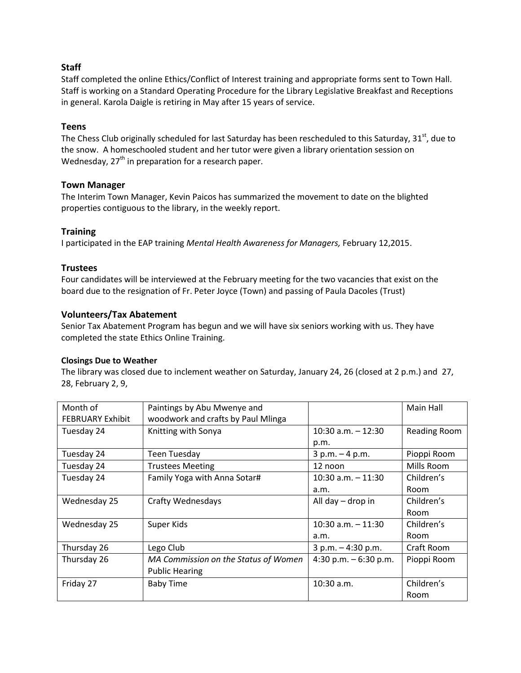# **Staff**

Staff completed the online Ethics/Conflict of Interest training and appropriate forms sent to Town Hall. Staff is working on a Standard Operating Procedure for the Library Legislative Breakfast and Receptions in general. Karola Daigle is retiring in May after 15 years of service.

## **Teens**

The Chess Club originally scheduled for last Saturday has been rescheduled to this Saturday, 31<sup>st</sup>, due to the snow. A homeschooled student and her tutor were given a library orientation session on Wednesday,  $27<sup>th</sup>$  in preparation for a research paper.

## **Town Manager**

The Interim Town Manager, Kevin Paicos has summarized the movement to date on the blighted properties contiguous to the library, in the weekly report.

## **Training**

I participated in the EAP training *Mental Health Awareness for Managers,* February 12,2015.

## **Trustees**

Four candidates will be interviewed at the February meeting for the two vacancies that exist on the board due to the resignation of Fr. Peter Joyce (Town) and passing of Paula Dacoles (Trust)

# **Volunteers/Tax Abatement**

Senior Tax Abatement Program has begun and we will have six seniors working with us. They have completed the state Ethics Online Training.

#### **Closings Due to Weather**

The library was closed due to inclement weather on Saturday, January 24, 26 (closed at 2 p.m.) and 27, 28, February 2, 9,

| Month of                | Paintings by Abu Mwenye and          |                        | Main Hall    |
|-------------------------|--------------------------------------|------------------------|--------------|
| <b>FEBRUARY Exhibit</b> | woodwork and crafts by Paul Mlinga   |                        |              |
| Tuesday 24              | Knitting with Sonya                  | $10:30$ a.m. $-12:30$  | Reading Room |
|                         |                                      | p.m.                   |              |
| Tuesday 24              | <b>Teen Tuesday</b>                  | $3 p.m. - 4 p.m.$      | Pioppi Room  |
| Tuesday 24              | <b>Trustees Meeting</b>              | 12 noon                | Mills Room   |
| Tuesday 24              | Family Yoga with Anna Sotar#         | $10:30$ a.m. $-11:30$  | Children's   |
|                         |                                      | a.m.                   | Room         |
| Wednesday 25            | <b>Crafty Wednesdays</b>             | All day $-$ drop in    | Children's   |
|                         |                                      |                        | <b>Room</b>  |
| Wednesday 25            | Super Kids                           | $10:30$ a.m. $-11:30$  | Children's   |
|                         |                                      | a.m.                   | Room         |
| Thursday 26             | Lego Club                            | $3 p.m. - 4:30 p.m.$   | Craft Room   |
| Thursday 26             | MA Commission on the Status of Women | 4:30 p.m. $-6:30$ p.m. | Pioppi Room  |
|                         | <b>Public Hearing</b>                |                        |              |
| Friday 27               | <b>Baby Time</b>                     | $10:30$ a.m.           | Children's   |
|                         |                                      |                        | Room         |